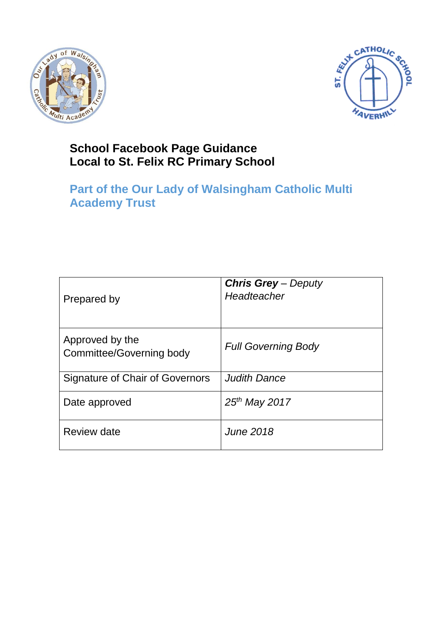



## **School Facebook Page Guidance Local to St. Felix RC Primary School**

# **Part of the Our Lady of Walsingham Catholic Multi Academy Trust**

| Prepared by                                 | <b>Chris Grey</b> – Deputy<br>Headteacher |
|---------------------------------------------|-------------------------------------------|
| Approved by the<br>Committee/Governing body | <b>Full Governing Body</b>                |
| Signature of Chair of Governors             | <b>Judith Dance</b>                       |
| Date approved                               | $25th$ May 2017                           |
| <b>Review date</b>                          | June 2018                                 |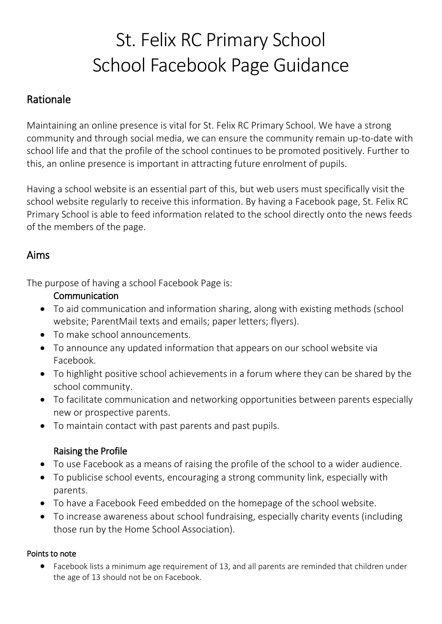# St. Felix RC Primary School School Facebook Page Guidance

## Rationale

Maintaining an online presence is vital for St. Felix RC Primary School. We have a strong community and through social media, we can ensure the community remain up-to-date with school life and that the profile of the school continues to be promoted positively. Further to this, an online presence is important in attracting future enrolment of pupils.

Having a school website is an essential part of this, but web users must specifically visit the school website regularly to receive this information. By having a Facebook page, St. Felix RC Primary School is able to feed information related to the school directly onto the news feeds of the members of the page.

## Aims

The purpose of having a school Facebook Page is:

#### Communication

- To aid communication and information sharing, along with existing methods (school website; ParentMail texts and emails; paper letters; flyers).
- To make school announcements.
- To announce any updated information that appears on our school website via Facebook.
- To highlight positive school achievements in a forum where they can be shared by the school community.
- To facilitate communication and networking opportunities between parents especially new or prospective parents.
- To maintain contact with past parents and past pupils.

### Raising the Profile

- To use Facebook as a means of raising the profile of the school to a wider audience.
- To publicise school events, encouraging a strong community link, especially with parents.
- To have a Facebook Feed embedded on the homepage of the school website.
- To increase awareness about school fundraising, especially charity events (including those run by the Home School Association).

#### Points to note

 Facebook lists a minimum age requirement of 13, and all parents are reminded that children under the age of 13 should not be on Facebook.